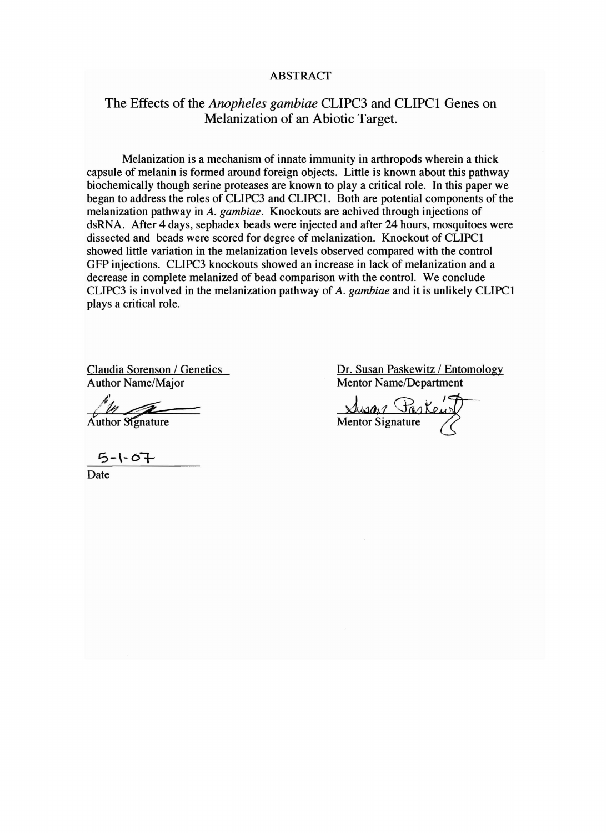### **ABSTRACT**

# The Effects of the *Anopheles gambiae* CLIPC3 and CLIPCl Genes on Melanization of an Abiotic Target.

Melanization is a mechanism of innate immunity in arthropods wherein a thick capsule of melanin is formed around foreign objects. Little is known about this pathway biochemically though serine proteases are known to playa critical role. In this paper we began to address the roles of CLIPC3 and CLIPCI. Both are potential components of the melanization pathway in *A. gambiae.* Knockouts are achived through injections of dsRNA. After 4 days, sephadex beads were injected and after 24 hours, mosquitoes were dissected and beads were scored for degree of melanization. Knockout of CLIPCI showed little variation in the melanization levels observed compared with the control GFP injections. CLIPC3 knockouts showed an increase in lack of melanization and a decrease in complete melanized of bead comparison with the control. We conclude CLIPC3 is involved in the melanization pathway of *A. gambiae* and it is unlikely CLIPCI plays a critical role.

Author Name/Major Mentor Name/Department

 $\frac{1}{r^2}$  Author Signature

 $5 - 1 - 0 +$ 

Date

Claudia Sorenson / Genetics Dr. Susan Paskewitz / Entomology

**Musa**<sub>2</sub> Task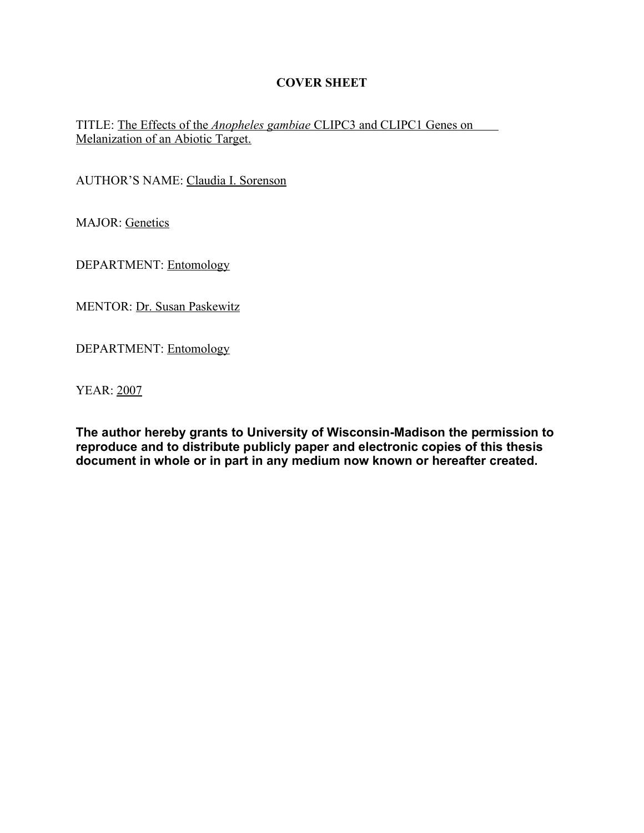# **COVER SHEET**

# TITLE: The Effects of the *Anopheles gambiae* CLIPC3 and CLIPC1 Genes on Melanization of an Abiotic Target.

AUTHOR'S NAME: Claudia I. Sorenson

MAJOR: Genetics

DEPARTMENT: Entomology

MENTOR: Dr. Susan Paskewitz

DEPARTMENT: Entomology

YEAR: 2007

**The author hereby grants to University of Wisconsin-Madison the permission to reproduce and to distribute publicly paper and electronic copies of this thesis document in whole or in part in any medium now known or hereafter created.**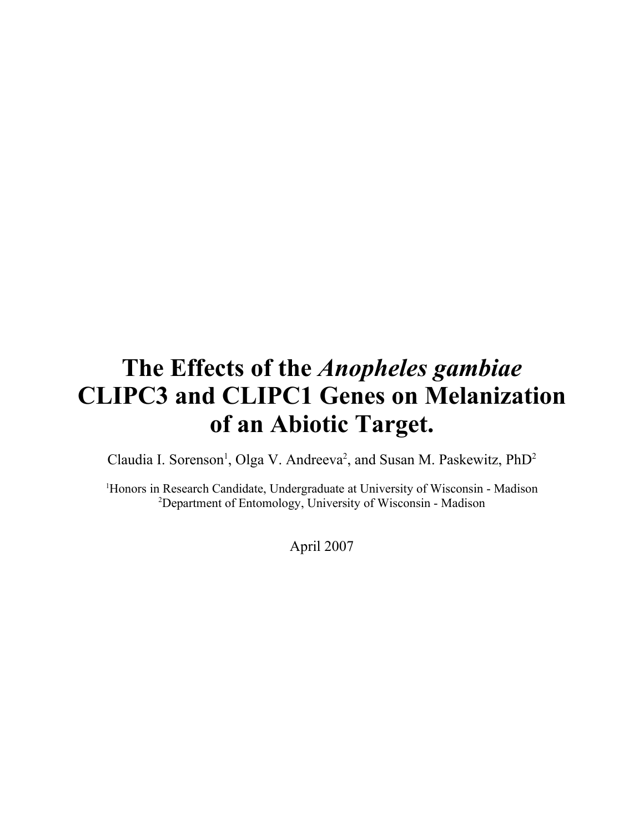# **The Effects of the** *Anopheles gambiae* **CLIPC3 and CLIPC1 Genes on Melanization of an Abiotic Target.**

Claudia I. Sorenson<sup>1</sup>, Olga V. Andreeva<sup>2</sup>, and Susan M. Paskewitz, PhD<sup>2</sup>

<sup>1</sup>Honors in Research Candidate, Undergraduate at University of Wisconsin - Madison <sup>2</sup>Department of Entomology, University of Wisconsin - Madison

April 2007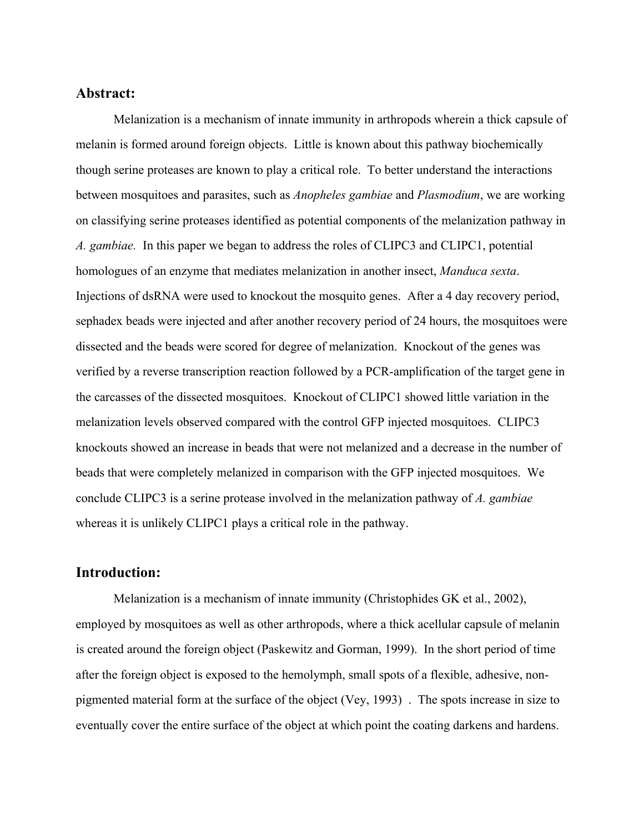## **Abstract:**

Melanization is a mechanism of innate immunity in arthropods wherein a thick capsule of melanin is formed around foreign objects. Little is known about this pathway biochemically though serine proteases are known to play a critical role. To better understand the interactions between mosquitoes and parasites, such as *Anopheles gambiae* and *Plasmodium*, we are working on classifying serine proteases identified as potential components of the melanization pathway in *A. gambiae.* In this paper we began to address the roles of CLIPC3 and CLIPC1, potential homologues of an enzyme that mediates melanization in another insect, *Manduca sexta*. Injections of dsRNA were used to knockout the mosquito genes. After a 4 day recovery period, sephadex beads were injected and after another recovery period of 24 hours, the mosquitoes were dissected and the beads were scored for degree of melanization. Knockout of the genes was verified by a reverse transcription reaction followed by a PCR-amplification of the target gene in the carcasses of the dissected mosquitoes. Knockout of CLIPC1 showed little variation in the melanization levels observed compared with the control GFP injected mosquitoes. CLIPC3 knockouts showed an increase in beads that were not melanized and a decrease in the number of beads that were completely melanized in comparison with the GFP injected mosquitoes. We conclude CLIPC3 is a serine protease involved in the melanization pathway of *A. gambiae* whereas it is unlikely CLIPC1 plays a critical role in the pathway.

# **Introduction:**

Melanization is a mechanism of innate immunity (Christophides GK et al., 2002), employed by mosquitoes as well as other arthropods, where a thick acellular capsule of melanin is created around the foreign object (Paskewitz and Gorman, 1999). In the short period of time after the foreign object is exposed to the hemolymph, small spots of a flexible, adhesive, nonpigmented material form at the surface of the object (Vey, 1993) . The spots increase in size to eventually cover the entire surface of the object at which point the coating darkens and hardens.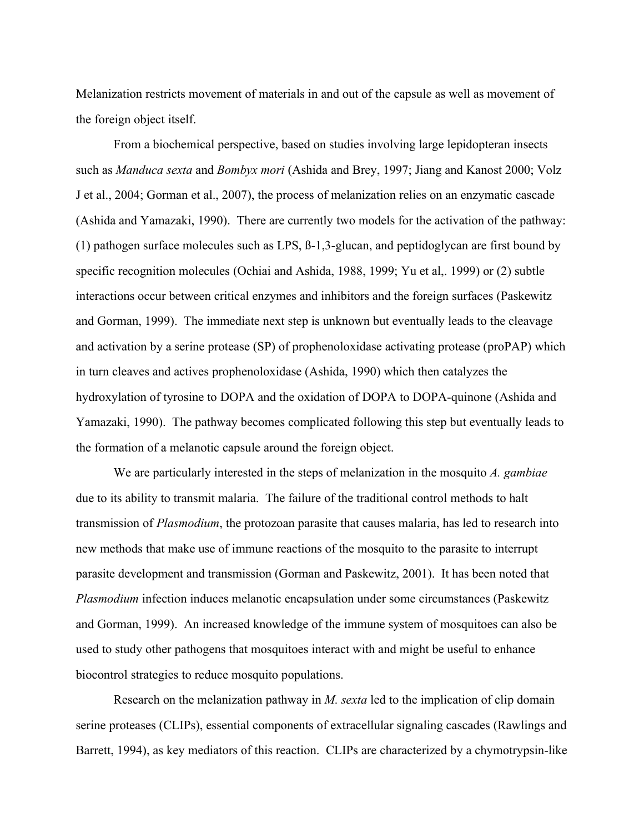Melanization restricts movement of materials in and out of the capsule as well as movement of the foreign object itself.

From a biochemical perspective, based on studies involving large lepidopteran insects such as *Manduca sexta* and *Bombyx mori* (Ashida and Brey, 1997; Jiang and Kanost 2000; Volz J et al., 2004; Gorman et al., 2007), the process of melanization relies on an enzymatic cascade (Ashida and Yamazaki, 1990). There are currently two models for the activation of the pathway: (1) pathogen surface molecules such as LPS, ß-1,3-glucan, and peptidoglycan are first bound by specific recognition molecules (Ochiai and Ashida, 1988, 1999; Yu et al,. 1999) or (2) subtle interactions occur between critical enzymes and inhibitors and the foreign surfaces (Paskewitz and Gorman, 1999). The immediate next step is unknown but eventually leads to the cleavage and activation by a serine protease (SP) of prophenoloxidase activating protease (proPAP) which in turn cleaves and actives prophenoloxidase (Ashida, 1990) which then catalyzes the hydroxylation of tyrosine to DOPA and the oxidation of DOPA to DOPA-quinone (Ashida and Yamazaki, 1990). The pathway becomes complicated following this step but eventually leads to the formation of a melanotic capsule around the foreign object.

We are particularly interested in the steps of melanization in the mosquito *A. gambiae* due to its ability to transmit malaria. The failure of the traditional control methods to halt transmission of *Plasmodium*, the protozoan parasite that causes malaria, has led to research into new methods that make use of immune reactions of the mosquito to the parasite to interrupt parasite development and transmission (Gorman and Paskewitz, 2001). It has been noted that *Plasmodium* infection induces melanotic encapsulation under some circumstances (Paskewitz and Gorman, 1999). An increased knowledge of the immune system of mosquitoes can also be used to study other pathogens that mosquitoes interact with and might be useful to enhance biocontrol strategies to reduce mosquito populations.

Research on the melanization pathway in *M. sexta* led to the implication of clip domain serine proteases (CLIPs), essential components of extracellular signaling cascades (Rawlings and Barrett, 1994), as key mediators of this reaction. CLIPs are characterized by a chymotrypsin-like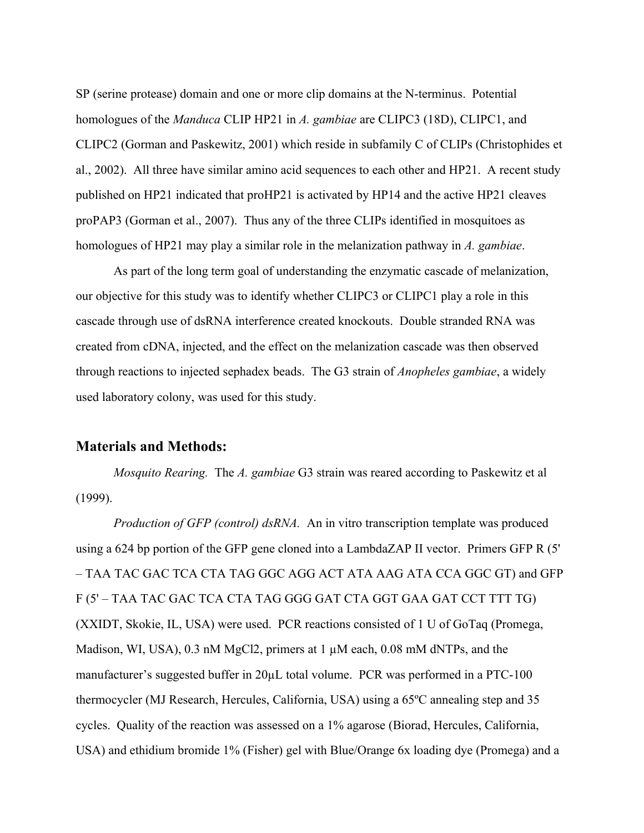SP (serine protease) domain and one or more clip domains at the N-terminus. Potential homologues of the *Manduca* CLIP HP21 in *A. gambiae* are CLIPC3 (18D), CLIPC1, and CLIPC2 (Gorman and Paskewitz, 2001) which reside in subfamily C of CLIPs (Christophides et al., 2002). All three have similar amino acid sequences to each other and HP21. A recent study published on HP21 indicated that proHP21 is activated by HP14 and the active HP21 cleaves proPAP3 (Gorman et al., 2007). Thus any of the three CLIPs identified in mosquitoes as homologues of HP21 may play a similar role in the melanization pathway in *A. gambiae*.

As part of the long term goal of understanding the enzymatic cascade of melanization, our objective for this study was to identify whether CLIPC3 or CLIPC1 play a role in this cascade through use of dsRNA interference created knockouts. Double stranded RNA was created from cDNA, injected, and the effect on the melanization cascade was then observed through reactions to injected sephadex beads. The G3 strain of *Anopheles gambiae*, a widely used laboratory colony, was used for this study.

## **Materials and Methods:**

*Mosquito Rearing.* The *A. gambiae* G3 strain was reared according to Paskewitz et al (1999).

*Production of GFP (control) dsRNA.* An in vitro transcription template was produced using a 624 bp portion of the GFP gene cloned into a LambdaZAP II vector. Primers GFP R (5' – TAA TAC GAC TCA CTA TAG GGC AGG ACT ATA AAG ATA CCA GGC GT) and GFP F (5' – TAA TAC GAC TCA CTA TAG GGG GAT CTA GGT GAA GAT CCT TTT TG) (XXIDT, Skokie, IL, USA) were used. PCR reactions consisted of 1 U of GoTaq (Promega, Madison, WI, USA), 0.3 nM MgCl2, primers at 1  $\mu$ M each, 0.08 mM dNTPs, and the manufacturer's suggested buffer in 20 $\mu$ L total volume. PCR was performed in a PTC-100 thermocycler (MJ Research, Hercules, California, USA) using a 65ºC annealing step and 35 cycles. Quality of the reaction was assessed on a 1% agarose (Biorad, Hercules, California, USA) and ethidium bromide 1% (Fisher) gel with Blue/Orange 6x loading dye (Promega) and a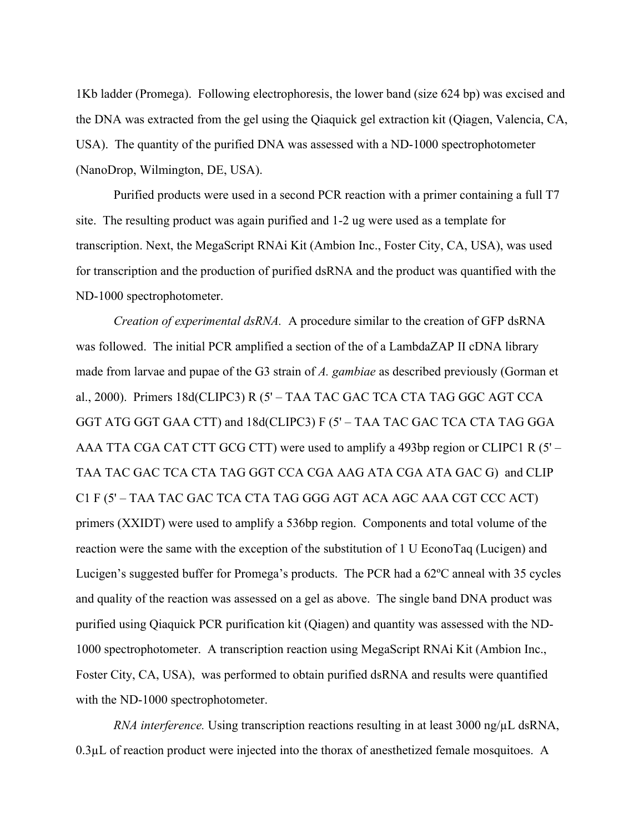1Kb ladder (Promega). Following electrophoresis, the lower band (size 624 bp) was excised and the DNA was extracted from the gel using the Qiaquick gel extraction kit (Qiagen, Valencia, CA, USA). The quantity of the purified DNA was assessed with a ND-1000 spectrophotometer (NanoDrop, Wilmington, DE, USA).

Purified products were used in a second PCR reaction with a primer containing a full T7 site. The resulting product was again purified and 1-2 ug were used as a template for transcription. Next, the MegaScript RNAi Kit (Ambion Inc., Foster City, CA, USA), was used for transcription and the production of purified dsRNA and the product was quantified with the ND-1000 spectrophotometer.

*Creation of experimental dsRNA.* A procedure similar to the creation of GFP dsRNA was followed. The initial PCR amplified a section of the of a LambdaZAP II cDNA library made from larvae and pupae of the G3 strain of *A. gambiae* as described previously (Gorman et al., 2000). Primers 18d(CLIPC3) R (5' – TAA TAC GAC TCA CTA TAG GGC AGT CCA GGT ATG GGT GAA CTT) and 18d(CLIPC3) F (5' – TAA TAC GAC TCA CTA TAG GGA AAA TTA CGA CAT CTT GCG CTT) were used to amplify a 493bp region or CLIPC1 R (5' – TAA TAC GAC TCA CTA TAG GGT CCA CGA AAG ATA CGA ATA GAC G) and CLIP C1 F (5' – TAA TAC GAC TCA CTA TAG GGG AGT ACA AGC AAA CGT CCC ACT) primers (XXIDT) were used to amplify a 536bp region. Components and total volume of the reaction were the same with the exception of the substitution of 1 U EconoTaq (Lucigen) and Lucigen's suggested buffer for Promega's products. The PCR had a 62ºC anneal with 35 cycles and quality of the reaction was assessed on a gel as above. The single band DNA product was purified using Qiaquick PCR purification kit (Qiagen) and quantity was assessed with the ND-1000 spectrophotometer. A transcription reaction using MegaScript RNAi Kit (Ambion Inc., Foster City, CA, USA), was performed to obtain purified dsRNA and results were quantified with the ND-1000 spectrophotometer.

*RNA interference.* Using transcription reactions resulting in at least 3000 ng/ $\mu$ L dsRNA, 0.3µL of reaction product were injected into the thorax of anesthetized female mosquitoes. A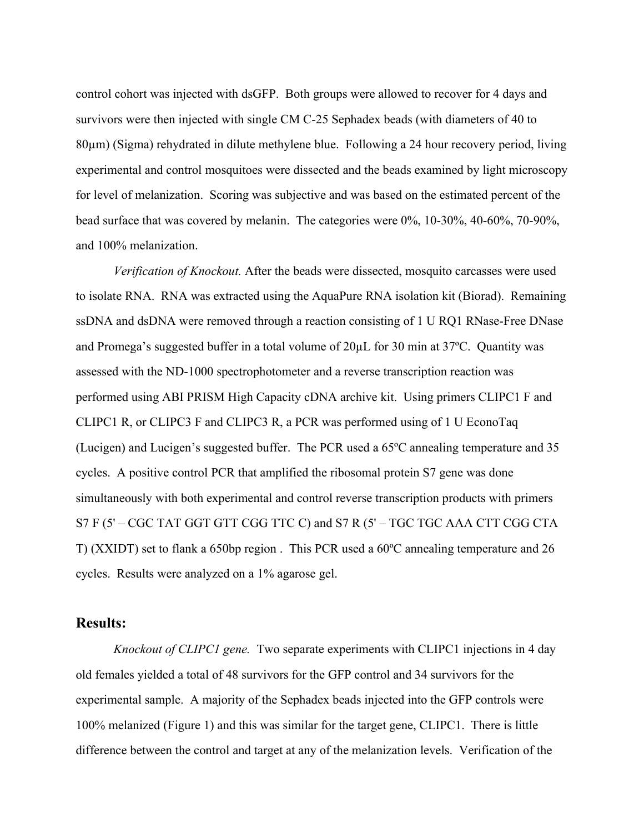control cohort was injected with dsGFP. Both groups were allowed to recover for 4 days and survivors were then injected with single CM C-25 Sephadex beads (with diameters of 40 to 80µm) (Sigma) rehydrated in dilute methylene blue. Following a 24 hour recovery period, living experimental and control mosquitoes were dissected and the beads examined by light microscopy for level of melanization. Scoring was subjective and was based on the estimated percent of the bead surface that was covered by melanin. The categories were 0%, 10-30%, 40-60%, 70-90%, and 100% melanization.

*Verification of Knockout.* After the beads were dissected, mosquito carcasses were used to isolate RNA. RNA was extracted using the AquaPure RNA isolation kit (Biorad). Remaining ssDNA and dsDNA were removed through a reaction consisting of 1 U RQ1 RNase-Free DNase and Promega's suggested buffer in a total volume of 20µL for 30 min at 37ºC. Quantity was assessed with the ND-1000 spectrophotometer and a reverse transcription reaction was performed using ABI PRISM High Capacity cDNA archive kit. Using primers CLIPC1 F and CLIPC1 R, or CLIPC3 F and CLIPC3 R, a PCR was performed using of 1 U EconoTaq (Lucigen) and Lucigen's suggested buffer. The PCR used a 65ºC annealing temperature and 35 cycles. A positive control PCR that amplified the ribosomal protein S7 gene was done simultaneously with both experimental and control reverse transcription products with primers S7 F (5' – CGC TAT GGT GTT CGG TTC C) and S7 R (5' – TGC TGC AAA CTT CGG CTA T) (XXIDT) set to flank a 650bp region . This PCR used a 60ºC annealing temperature and 26 cycles. Results were analyzed on a 1% agarose gel.

### **Results:**

*Knockout of CLIPC1 gene.* Two separate experiments with CLIPC1 injections in 4 day old females yielded a total of 48 survivors for the GFP control and 34 survivors for the experimental sample. A majority of the Sephadex beads injected into the GFP controls were 100% melanized (Figure 1) and this was similar for the target gene, CLIPC1. There is little difference between the control and target at any of the melanization levels. Verification of the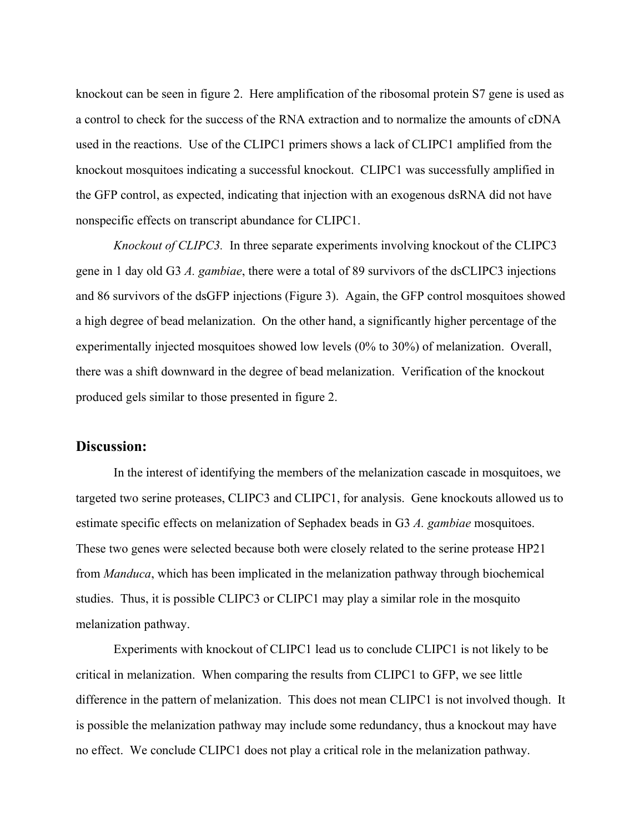knockout can be seen in figure 2. Here amplification of the ribosomal protein S7 gene is used as a control to check for the success of the RNA extraction and to normalize the amounts of cDNA used in the reactions. Use of the CLIPC1 primers shows a lack of CLIPC1 amplified from the knockout mosquitoes indicating a successful knockout. CLIPC1 was successfully amplified in the GFP control, as expected, indicating that injection with an exogenous dsRNA did not have nonspecific effects on transcript abundance for CLIPC1.

*Knockout of CLIPC3.* In three separate experiments involving knockout of the CLIPC3 gene in 1 day old G3 *A. gambiae*, there were a total of 89 survivors of the dsCLIPC3 injections and 86 survivors of the dsGFP injections (Figure 3). Again, the GFP control mosquitoes showed a high degree of bead melanization. On the other hand, a significantly higher percentage of the experimentally injected mosquitoes showed low levels (0% to 30%) of melanization. Overall, there was a shift downward in the degree of bead melanization. Verification of the knockout produced gels similar to those presented in figure 2.

## **Discussion:**

In the interest of identifying the members of the melanization cascade in mosquitoes, we targeted two serine proteases, CLIPC3 and CLIPC1, for analysis. Gene knockouts allowed us to estimate specific effects on melanization of Sephadex beads in G3 *A. gambiae* mosquitoes. These two genes were selected because both were closely related to the serine protease HP21 from *Manduca*, which has been implicated in the melanization pathway through biochemical studies. Thus, it is possible CLIPC3 or CLIPC1 may play a similar role in the mosquito melanization pathway.

Experiments with knockout of CLIPC1 lead us to conclude CLIPC1 is not likely to be critical in melanization. When comparing the results from CLIPC1 to GFP, we see little difference in the pattern of melanization. This does not mean CLIPC1 is not involved though. It is possible the melanization pathway may include some redundancy, thus a knockout may have no effect. We conclude CLIPC1 does not play a critical role in the melanization pathway.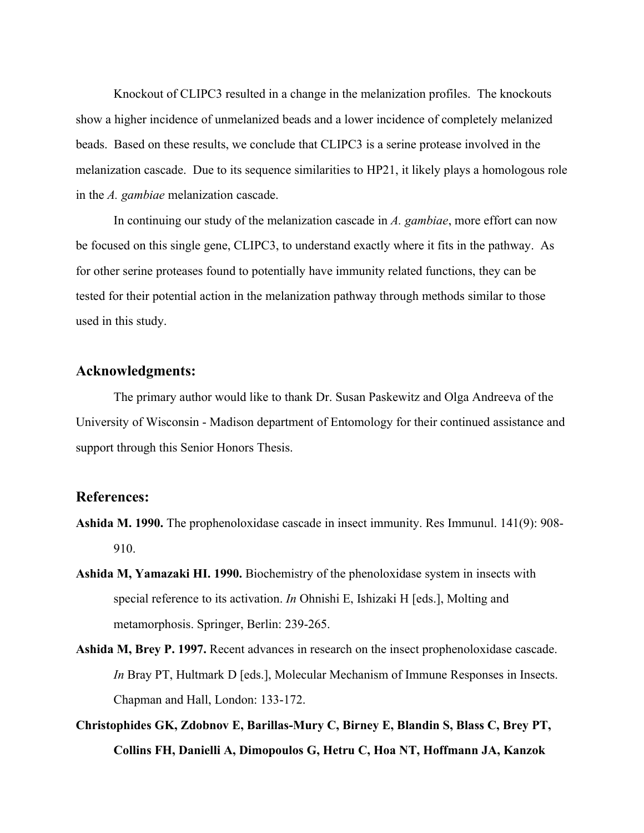Knockout of CLIPC3 resulted in a change in the melanization profiles. The knockouts show a higher incidence of unmelanized beads and a lower incidence of completely melanized beads. Based on these results, we conclude that CLIPC3 is a serine protease involved in the melanization cascade. Due to its sequence similarities to HP21, it likely plays a homologous role in the *A. gambiae* melanization cascade.

In continuing our study of the melanization cascade in *A. gambiae*, more effort can now be focused on this single gene, CLIPC3, to understand exactly where it fits in the pathway. As for other serine proteases found to potentially have immunity related functions, they can be tested for their potential action in the melanization pathway through methods similar to those used in this study.

## **Acknowledgments:**

The primary author would like to thank Dr. Susan Paskewitz and Olga Andreeva of the University of Wisconsin - Madison department of Entomology for their continued assistance and support through this Senior Honors Thesis.

#### **References:**

- **Ashida M. 1990.** The prophenoloxidase cascade in insect immunity. Res Immunul. 141(9): 908- 910.
- **Ashida M, Yamazaki HI. 1990.** Biochemistry of the phenoloxidase system in insects with special reference to its activation. *In* Ohnishi E, Ishizaki H [eds.], Molting and metamorphosis. Springer, Berlin: 239-265.
- **Ashida M, Brey P. 1997.** Recent advances in research on the insect prophenoloxidase cascade. *In* Bray PT, Hultmark D [eds.], Molecular Mechanism of Immune Responses in Insects. Chapman and Hall, London: 133-172.
- **Christophides GK, Zdobnov E, Barillas-Mury C, Birney E, Blandin S, Blass C, Brey PT, Collins FH, Danielli A, Dimopoulos G, Hetru C, Hoa NT, Hoffmann JA, Kanzok**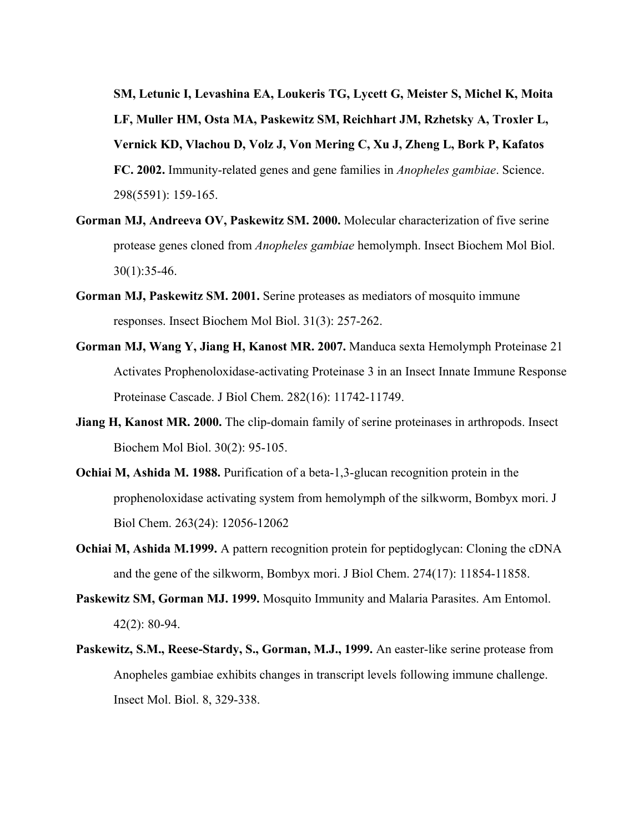**SM, Letunic I, Levashina EA, Loukeris TG, Lycett G, Meister S, Michel K, Moita LF, Muller HM, Osta MA, Paskewitz SM, Reichhart JM, Rzhetsky A, Troxler L, Vernick KD, Vlachou D, Volz J, Von Mering C, Xu J, Zheng L, Bork P, Kafatos FC. 2002.** Immunity-related genes and gene families in *Anopheles gambiae*. Science. 298(5591): 159-165.

- **Gorman MJ, Andreeva OV, Paskewitz SM. 2000.** Molecular characterization of five serine protease genes cloned from *Anopheles gambiae* hemolymph. Insect Biochem Mol Biol. 30(1):35-46.
- **Gorman MJ, Paskewitz SM. 2001.** Serine proteases as mediators of mosquito immune responses. Insect Biochem Mol Biol. 31(3): 257-262.
- **Gorman MJ, Wang Y, Jiang H, Kanost MR. 2007.** Manduca sexta Hemolymph Proteinase 21 Activates Prophenoloxidase-activating Proteinase 3 in an Insect Innate Immune Response Proteinase Cascade. J Biol Chem. 282(16): 11742-11749.
- **Jiang H, Kanost MR. 2000.** The clip-domain family of serine proteinases in arthropods. Insect Biochem Mol Biol. 30(2): 95-105.
- **Ochiai M, Ashida M. 1988.** Purification of a beta-1,3-glucan recognition protein in the prophenoloxidase activating system from hemolymph of the silkworm, Bombyx mori. J Biol Chem. 263(24): 12056-12062
- **Ochiai M, Ashida M.1999.** A pattern recognition protein for peptidoglycan: Cloning the cDNA and the gene of the silkworm, Bombyx mori. J Biol Chem. 274(17): 11854-11858.
- **Paskewitz SM, Gorman MJ. 1999.** Mosquito Immunity and Malaria Parasites. Am Entomol. 42(2): 80-94.
- **Paskewitz, S.M., Reese-Stardy, S., Gorman, M.J., 1999.** An easter-like serine protease from Anopheles gambiae exhibits changes in transcript levels following immune challenge. Insect Mol. Biol. 8, 329-338.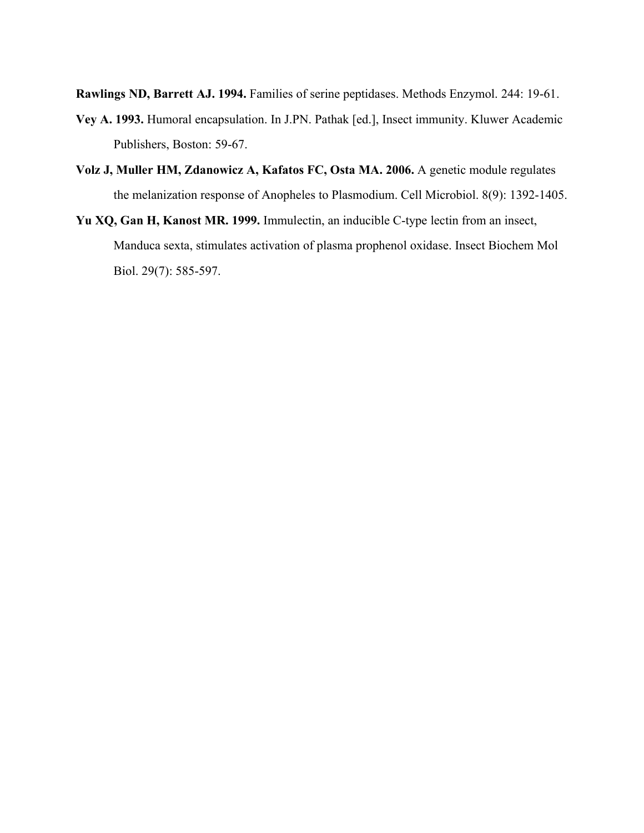**Rawlings ND, Barrett AJ. 1994.** Families of serine peptidases. Methods Enzymol. 244: 19-61.

- **Vey A. 1993.** Humoral encapsulation. In J.PN. Pathak [ed.], Insect immunity. Kluwer Academic Publishers, Boston: 59-67.
- **Volz J, Muller HM, Zdanowicz A, Kafatos FC, Osta MA. 2006.** A genetic module regulates the melanization response of Anopheles to Plasmodium. Cell Microbiol. 8(9): 1392-1405.
- **Yu XQ, Gan H, Kanost MR. 1999.** Immulectin, an inducible C-type lectin from an insect, Manduca sexta, stimulates activation of plasma prophenol oxidase. Insect Biochem Mol Biol. 29(7): 585-597.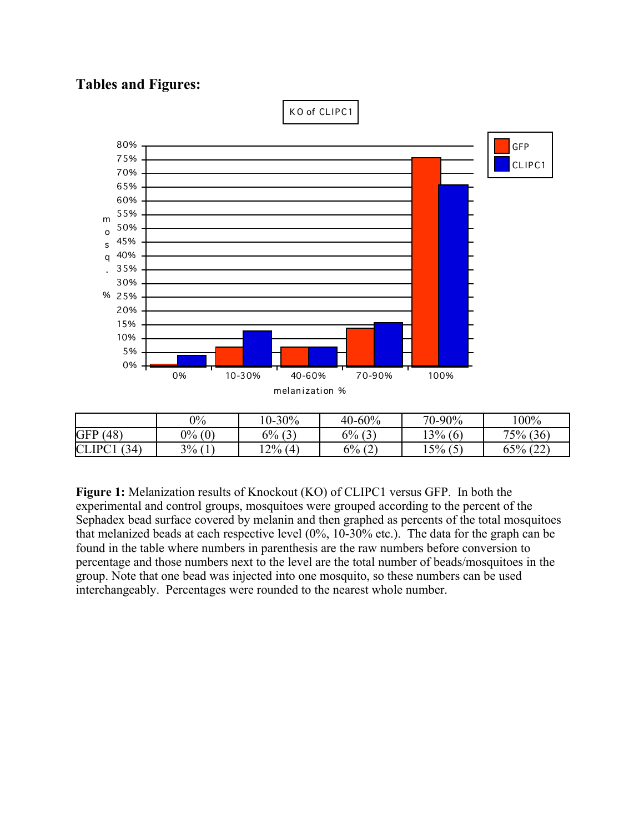# **Tables and Figures:**



**Figure 1:** Melanization results of Knockout (KO) of CLIPC1 versus GFP. In both the experimental and control groups, mosquitoes were grouped according to the percent of the Sephadex bead surface covered by melanin and then graphed as percents of the total mosquitoes that melanized beads at each respective level (0%, 10-30% etc.). The data for the graph can be found in the table where numbers in parenthesis are the raw numbers before conversion to percentage and those numbers next to the level are the total number of beads/mosquitoes in the group. Note that one bead was injected into one mosquito, so these numbers can be used interchangeably. Percentages were rounded to the nearest whole number.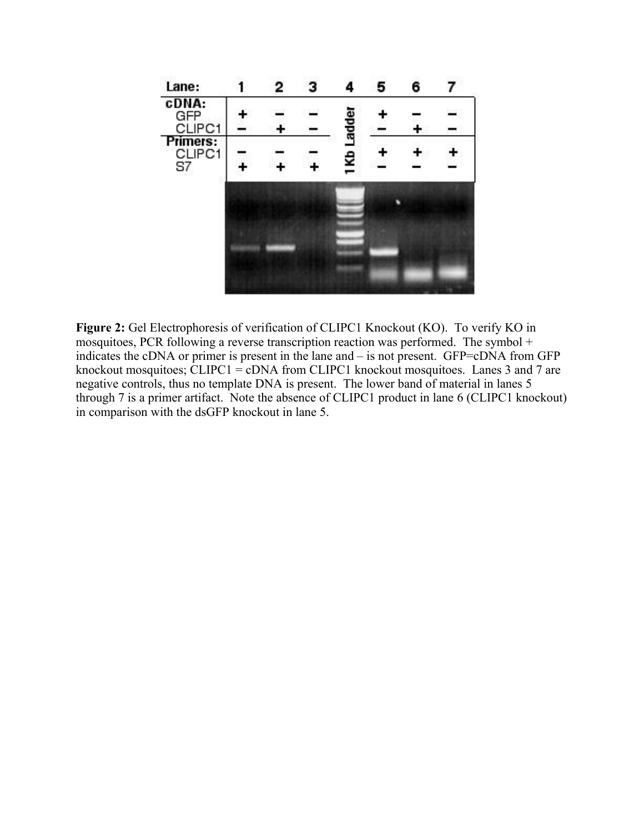

**Figure 2:** Gel Electrophoresis of verification of CLIPC1 Knockout (KO). To verify KO in mosquitoes, PCR following a reverse transcription reaction was performed. The symbol + indicates the cDNA or primer is present in the lane and – is not present. GFP=cDNA from GFP knockout mosquitoes; CLIPC1 = cDNA from CLIPC1 knockout mosquitoes. Lanes 3 and 7 are negative controls, thus no template DNA is present. The lower band of material in lanes 5 through 7 is a primer artifact. Note the absence of CLIPC1 product in lane 6 (CLIPC1 knockout) in comparison with the dsGFP knockout in lane 5.